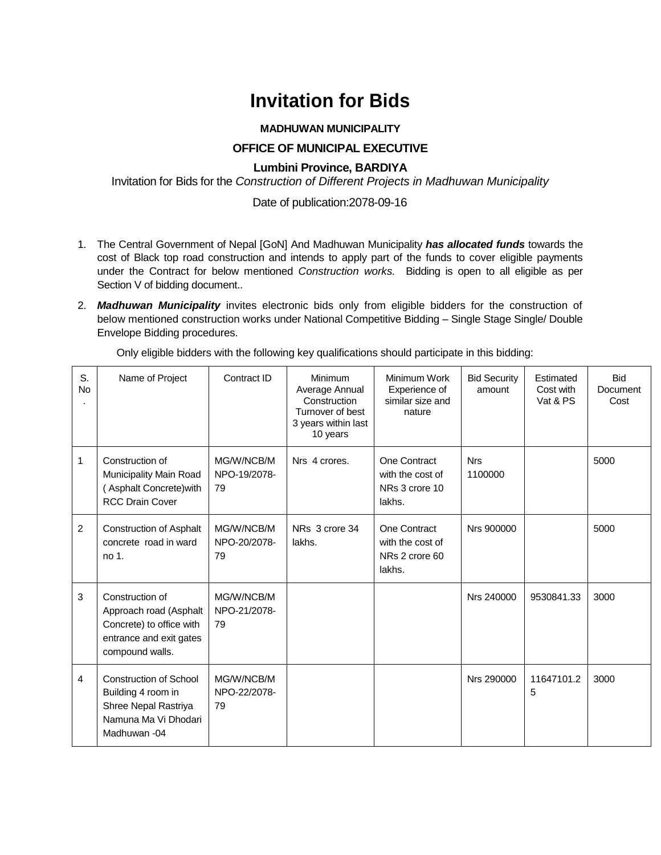# **Invitation for Bids**

## **MADHUWAN MUNICIPALITY**

## **OFFICE OF MUNICIPAL EXECUTIVE**

## **Lumbini Province, BARDIYA**

Invitation for Bids for the *Construction of Different Projects in Madhuwan Municipality*

## Date of publication:2078-09-16

- 1. The Central Government of Nepal [GoN] And Madhuwan Municipality *has allocated funds* towards the cost of Black top road construction and intends to apply part of the funds to cover eligible payments under the Contract for below mentioned *Construction works.* Bidding is open to all eligible as per Section V of bidding document..
- 2. *Madhuwan Municipality* invites electronic bids only from eligible bidders for the construction of below mentioned construction works under National Competitive Bidding – Single Stage Single/ Double Envelope Bidding procedures.

| S.<br><b>No</b> | Name of Project                                                                                                     | Contract ID                      | Minimum<br>Average Annual<br>Construction<br>Turnover of best<br>3 years within last<br>10 years | Minimum Work<br>Experience of<br>similar size and<br>nature  | <b>Bid Security</b><br>amount | Estimated<br>Cost with<br>Vat & PS | <b>Bid</b><br>Document<br>Cost |
|-----------------|---------------------------------------------------------------------------------------------------------------------|----------------------------------|--------------------------------------------------------------------------------------------------|--------------------------------------------------------------|-------------------------------|------------------------------------|--------------------------------|
| 1               | Construction of<br>Municipality Main Road<br>(Asphalt Concrete) with<br><b>RCC Drain Cover</b>                      | MG/W/NCB/M<br>NPO-19/2078-<br>79 | Nrs 4 crores.                                                                                    | One Contract<br>with the cost of<br>NRs 3 crore 10<br>lakhs. | <b>Nrs</b><br>1100000         |                                    | 5000                           |
| 2               | <b>Construction of Asphalt</b><br>concrete road in ward<br>no 1.                                                    | MG/W/NCB/M<br>NPO-20/2078-<br>79 | NRs 3 crore 34<br>lakhs.                                                                         | One Contract<br>with the cost of<br>NRs 2 crore 60<br>lakhs. | Nrs 900000                    |                                    | 5000                           |
| 3               | Construction of<br>Approach road (Asphalt<br>Concrete) to office with<br>entrance and exit gates<br>compound walls. | MG/W/NCB/M<br>NPO-21/2078-<br>79 |                                                                                                  |                                                              | Nrs 240000                    | 9530841.33                         | 3000                           |
| 4               | <b>Construction of School</b><br>Building 4 room in<br>Shree Nepal Rastriya<br>Namuna Ma Vi Dhodari<br>Madhuwan -04 | MG/W/NCB/M<br>NPO-22/2078-<br>79 |                                                                                                  |                                                              | Nrs 290000                    | 11647101.2<br>5                    | 3000                           |

Only eligible bidders with the following key qualifications should participate in this bidding: